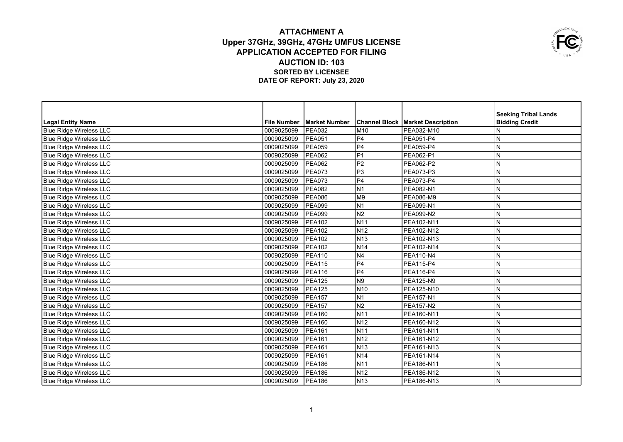## **ATTACHMENT A Upper 37GHz, 39GHz, 47GHz UMFUS LICENSE APPLICATION ACCEPTED FOR FILING AUCTION ID: 103 SORTED BY LICENSEE DATE OF REPORT: July 23, 2020**



|                                |                    |                      |                 |                                           | <b>Seeking Tribal Lands</b> |
|--------------------------------|--------------------|----------------------|-----------------|-------------------------------------------|-----------------------------|
| Legal Entity Name              | <b>File Number</b> | <b>Market Number</b> |                 | <b>Channel Block   Market Description</b> | <b>Bidding Credit</b>       |
| <b>Blue Ridge Wireless LLC</b> | 0009025099         | <b>PEA032</b>        | M10             | PEA032-M10                                | N                           |
| <b>Blue Ridge Wireless LLC</b> | 0009025099         | <b>PEA051</b>        | P <sub>4</sub>  | <b>PEA051-P4</b>                          | N                           |
| <b>Blue Ridge Wireless LLC</b> | 0009025099         | <b>PEA059</b>        | P4              | PEA059-P4                                 | N                           |
| <b>Blue Ridge Wireless LLC</b> | 0009025099         | <b>PEA062</b>        | P <sub>1</sub>  | PEA062-P1                                 | N                           |
| <b>Blue Ridge Wireless LLC</b> | 0009025099         | <b>PEA062</b>        | P <sub>2</sub>  | PEA062-P2                                 | ${\sf N}$                   |
| <b>Blue Ridge Wireless LLC</b> | 10009025099        | <b>PEA073</b>        | P <sub>3</sub>  | PEA073-P3                                 | N                           |
| <b>Blue Ridge Wireless LLC</b> | 0009025099         | <b>PEA073</b>        | P <sub>4</sub>  | PEA073-P4                                 | N                           |
| <b>Blue Ridge Wireless LLC</b> | 0009025099         | <b>PEA082</b>        | N <sub>1</sub>  | PEA082-N1                                 | N                           |
| <b>Blue Ridge Wireless LLC</b> | 0009025099         | <b>PEA086</b>        | M <sub>9</sub>  | PEA086-M9                                 | ${\sf N}$                   |
| <b>Blue Ridge Wireless LLC</b> | 0009025099         | <b>PEA099</b>        | N <sub>1</sub>  | PEA099-N1                                 | N                           |
| <b>Blue Ridge Wireless LLC</b> | 0009025099         | <b>PEA099</b>        | N <sub>2</sub>  | PEA099-N2                                 | N                           |
| <b>Blue Ridge Wireless LLC</b> | 0009025099         | <b>PEA102</b>        | N11             | PEA102-N11                                | N                           |
| <b>Blue Ridge Wireless LLC</b> | 0009025099         | <b>PEA102</b>        | N <sub>12</sub> | PEA102-N12                                | N                           |
| <b>Blue Ridge Wireless LLC</b> | 0009025099         | <b>PEA102</b>        | N <sub>13</sub> | PEA102-N13                                | ${\sf N}$                   |
| <b>Blue Ridge Wireless LLC</b> | 0009025099         | <b>PEA102</b>        | <b>N14</b>      | PEA102-N14                                | N                           |
| <b>Blue Ridge Wireless LLC</b> | 0009025099         | <b>PEA110</b>        | N <sub>4</sub>  | PEA110-N4                                 | N                           |
| <b>Blue Ridge Wireless LLC</b> | 0009025099         | <b>PEA115</b>        | P <sub>4</sub>  | PEA115-P4                                 | N                           |
| <b>Blue Ridge Wireless LLC</b> | 0009025099         | <b>PEA116</b>        | P <sub>4</sub>  | PEA116-P4                                 | N                           |
| <b>Blue Ridge Wireless LLC</b> | 0009025099         | <b>PEA125</b>        | N <sub>9</sub>  | <b>PEA125-N9</b>                          | $\mathsf{N}$                |
| <b>Blue Ridge Wireless LLC</b> | 0009025099         | <b>PEA125</b>        | N <sub>10</sub> | PEA125-N10                                | N                           |
| <b>Blue Ridge Wireless LLC</b> | 0009025099         | <b>PEA157</b>        | N <sub>1</sub>  | PEA157-N1                                 | N                           |
| <b>Blue Ridge Wireless LLC</b> | 0009025099         | <b>PEA157</b>        | $\overline{N2}$ | <b>PEA157-N2</b>                          | N                           |
| <b>Blue Ridge Wireless LLC</b> | 0009025099         | <b>PEA160</b>        | N11             | PEA160-N11                                | ${\sf N}$                   |
| <b>Blue Ridge Wireless LLC</b> | 0009025099         | <b>PEA160</b>        | N <sub>12</sub> | PEA160-N12                                | N                           |
| <b>Blue Ridge Wireless LLC</b> | 0009025099         | <b>PEA161</b>        | N <sub>11</sub> | <b>PEA161-N11</b>                         | N                           |
| <b>Blue Ridge Wireless LLC</b> | 0009025099         | <b>PEA161</b>        | N <sub>12</sub> | PEA161-N12                                | N                           |
| <b>Blue Ridge Wireless LLC</b> | 0009025099         | <b>PEA161</b>        | N <sub>13</sub> | PEA161-N13                                | ${\sf N}$                   |
| <b>Blue Ridge Wireless LLC</b> | 0009025099         | <b>PEA161</b>        | N <sub>14</sub> | PEA161-N14                                | N                           |
| <b>Blue Ridge Wireless LLC</b> | 0009025099         | <b>PEA186</b>        | N <sub>11</sub> | PEA186-N11                                | N                           |
| Blue Ridge Wireless LLC        | 0009025099         | <b>PEA186</b>        | N <sub>12</sub> | PEA186-N12                                | N                           |
| Blue Ridge Wireless LLC        | 0009025099         | <b>PEA186</b>        | <b>N</b> 13     | <b>PEA186-N13</b>                         | IN.                         |